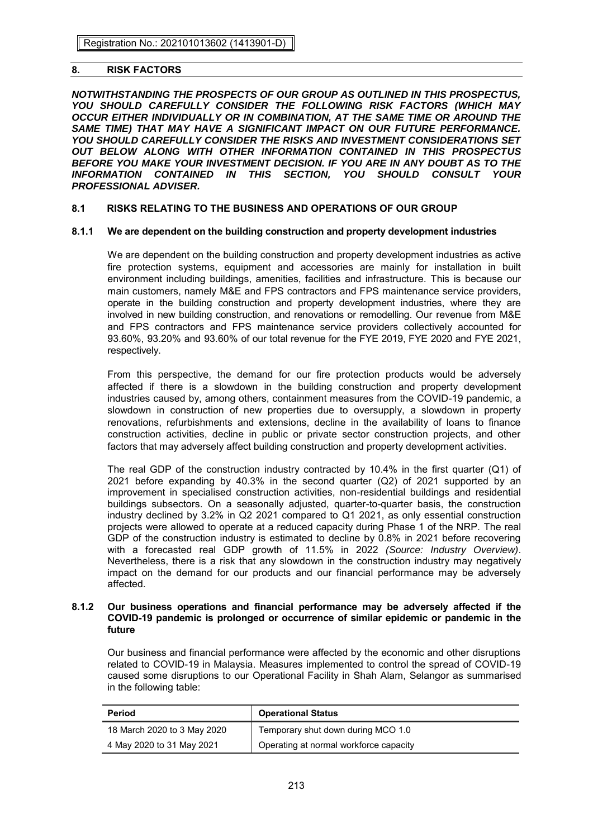# **8. RISK FACTORS**

*NOTWITHSTANDING THE PROSPECTS OF OUR GROUP AS OUTLINED IN THIS PROSPECTUS, YOU SHOULD CAREFULLY CONSIDER THE FOLLOWING RISK FACTORS (WHICH MAY OCCUR EITHER INDIVIDUALLY OR IN COMBINATION, AT THE SAME TIME OR AROUND THE*  SAME TIME) THAT MAY HAVE A SIGNIFICANT IMPACT ON OUR FUTURE PERFORMANCE. *YOU SHOULD CAREFULLY CONSIDER THE RISKS AND INVESTMENT CONSIDERATIONS SET OUT BELOW ALONG WITH OTHER INFORMATION CONTAINED IN THIS PROSPECTUS BEFORE YOU MAKE YOUR INVESTMENT DECISION. IF YOU ARE IN ANY DOUBT AS TO THE INFORMATION CONTAINED IN THIS SECTION, YOU SHOULD CONSULT YOUR PROFESSIONAL ADVISER.* 

# **8.1 RISKS RELATING TO THE BUSINESS AND OPERATIONS OF OUR GROUP**

# **8.1.1 We are dependent on the building construction and property development industries**

We are dependent on the building construction and property development industries as active fire protection systems, equipment and accessories are mainly for installation in built environment including buildings, amenities, facilities and infrastructure. This is because our main customers, namely M&E and FPS contractors and FPS maintenance service providers, operate in the building construction and property development industries, where they are involved in new building construction, and renovations or remodelling. Our revenue from M&E and FPS contractors and FPS maintenance service providers collectively accounted for 93.60%, 93.20% and 93.60% of our total revenue for the FYE 2019, FYE 2020 and FYE 2021, respectively.

From this perspective, the demand for our fire protection products would be adversely affected if there is a slowdown in the building construction and property development industries caused by, among others, containment measures from the COVID-19 pandemic, a slowdown in construction of new properties due to oversupply, a slowdown in property renovations, refurbishments and extensions, decline in the availability of loans to finance construction activities, decline in public or private sector construction projects, and other factors that may adversely affect building construction and property development activities.

The real GDP of the construction industry contracted by 10.4% in the first quarter (Q1) of 2021 before expanding by 40.3% in the second quarter (Q2) of 2021 supported by an improvement in specialised construction activities, non-residential buildings and residential buildings subsectors. On a seasonally adjusted, quarter-to-quarter basis, the construction industry declined by 3.2% in Q2 2021 compared to Q1 2021, as only essential construction projects were allowed to operate at a reduced capacity during Phase 1 of the NRP. The real GDP of the construction industry is estimated to decline by 0.8% in 2021 before recovering with a forecasted real GDP growth of 11.5% in 2022 *(Source: Industry Overview)*. Nevertheless, there is a risk that any slowdown in the construction industry may negatively impact on the demand for our products and our financial performance may be adversely affected.

### **8.1.2 Our business operations and financial performance may be adversely affected if the COVID-19 pandemic is prolonged or occurrence of similar epidemic or pandemic in the future**

Our business and financial performance were affected by the economic and other disruptions related to COVID-19 in Malaysia. Measures implemented to control the spread of COVID-19 caused some disruptions to our Operational Facility in Shah Alam, Selangor as summarised in the following table:

| <b>Period</b>               | <b>Operational Status</b>              |
|-----------------------------|----------------------------------------|
| 18 March 2020 to 3 May 2020 | Temporary shut down during MCO 1.0     |
| 4 May 2020 to 31 May 2021   | Operating at normal workforce capacity |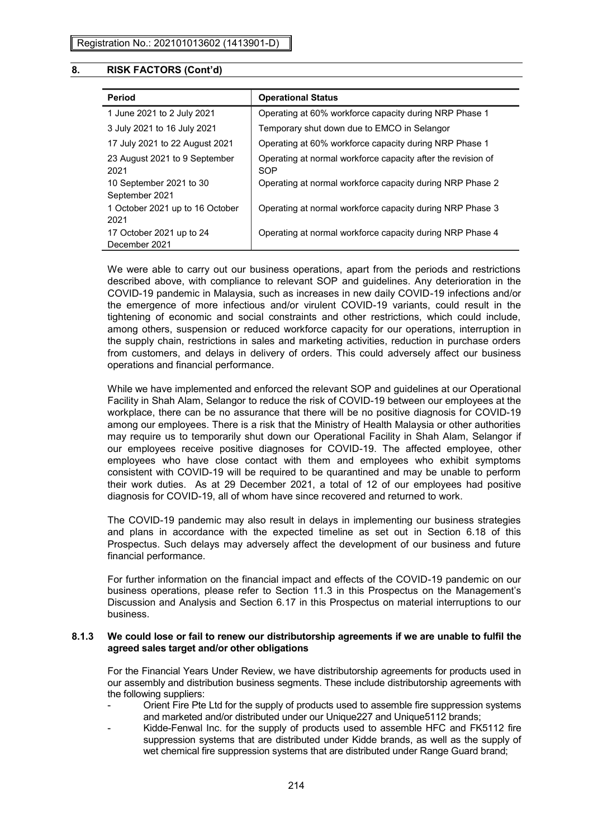| <b>Period</b>                             | <b>Operational Status</b>                                           |
|-------------------------------------------|---------------------------------------------------------------------|
| 1 June 2021 to 2 July 2021                | Operating at 60% workforce capacity during NRP Phase 1              |
| 3 July 2021 to 16 July 2021               | Temporary shut down due to EMCO in Selangor                         |
| 17 July 2021 to 22 August 2021            | Operating at 60% workforce capacity during NRP Phase 1              |
| 23 August 2021 to 9 September<br>2021     | Operating at normal workforce capacity after the revision of<br>SOP |
| 10 September 2021 to 30<br>September 2021 | Operating at normal workforce capacity during NRP Phase 2           |
| 1 October 2021 up to 16 October<br>2021   | Operating at normal workforce capacity during NRP Phase 3           |
| 17 October 2021 up to 24<br>December 2021 | Operating at normal workforce capacity during NRP Phase 4           |

We were able to carry out our business operations, apart from the periods and restrictions described above, with compliance to relevant SOP and guidelines. Any deterioration in the COVID-19 pandemic in Malaysia, such as increases in new daily COVID-19 infections and/or the emergence of more infectious and/or virulent COVID-19 variants, could result in the tightening of economic and social constraints and other restrictions, which could include, among others, suspension or reduced workforce capacity for our operations, interruption in the supply chain, restrictions in sales and marketing activities, reduction in purchase orders from customers, and delays in delivery of orders. This could adversely affect our business operations and financial performance.

While we have implemented and enforced the relevant SOP and guidelines at our Operational Facility in Shah Alam, Selangor to reduce the risk of COVID-19 between our employees at the workplace, there can be no assurance that there will be no positive diagnosis for COVID-19 among our employees. There is a risk that the Ministry of Health Malaysia or other authorities may require us to temporarily shut down our Operational Facility in Shah Alam, Selangor if our employees receive positive diagnoses for COVID-19. The affected employee, other employees who have close contact with them and employees who exhibit symptoms consistent with COVID-19 will be required to be quarantined and may be unable to perform their work duties. As at 29 December 2021, a total of 12 of our employees had positive diagnosis for COVID-19, all of whom have since recovered and returned to work.

The COVID-19 pandemic may also result in delays in implementing our business strategies and plans in accordance with the expected timeline as set out in Section 6.18 of this Prospectus. Such delays may adversely affect the development of our business and future financial performance.

For further information on the financial impact and effects of the COVID-19 pandemic on our business operations, please refer to Section 11.3 in this Prospectus on the Management's Discussion and Analysis and Section 6.17 in this Prospectus on material interruptions to our business.

### **8.1.3 We could lose or fail to renew our distributorship agreements if we are unable to fulfil the agreed sales target and/or other obligations**

For the Financial Years Under Review, we have distributorship agreements for products used in our assembly and distribution business segments. These include distributorship agreements with the following suppliers:

- Orient Fire Pte Ltd for the supply of products used to assemble fire suppression systems and marketed and/or distributed under our Unique227 and Unique5112 brands;
- Kidde-Fenwal Inc. for the supply of products used to assemble HFC and FK5112 fire suppression systems that are distributed under Kidde brands, as well as the supply of wet chemical fire suppression systems that are distributed under Range Guard brand: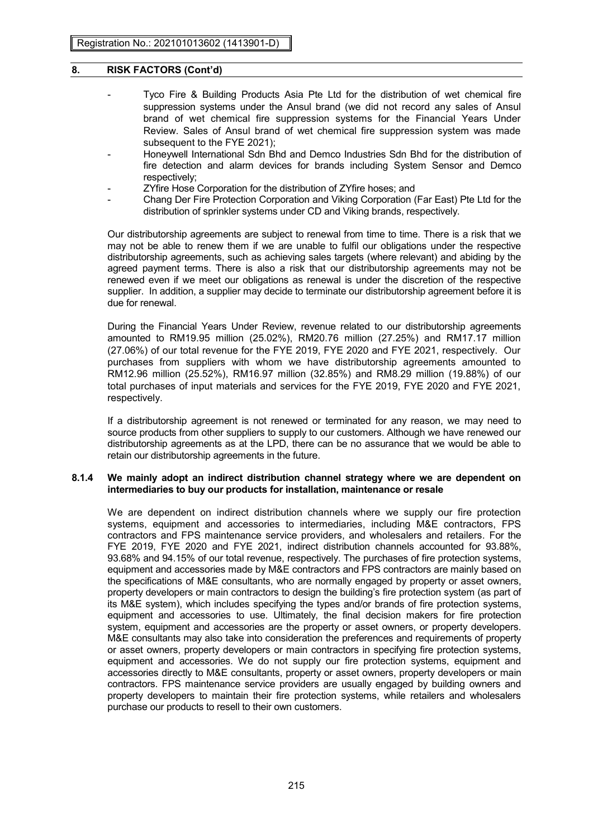- Tyco Fire & Building Products Asia Pte Ltd for the distribution of wet chemical fire suppression systems under the Ansul brand (we did not record any sales of Ansul brand of wet chemical fire suppression systems for the Financial Years Under Review. Sales of Ansul brand of wet chemical fire suppression system was made subsequent to the FYE 2021);
- Honeywell International Sdn Bhd and Demco Industries Sdn Bhd for the distribution of fire detection and alarm devices for brands including System Sensor and Demco respectively;
- ZYfire Hose Corporation for the distribution of ZYfire hoses; and
- Chang Der Fire Protection Corporation and Viking Corporation (Far East) Pte Ltd for the distribution of sprinkler systems under CD and Viking brands, respectively.

Our distributorship agreements are subject to renewal from time to time. There is a risk that we may not be able to renew them if we are unable to fulfil our obligations under the respective distributorship agreements, such as achieving sales targets (where relevant) and abiding by the agreed payment terms. There is also a risk that our distributorship agreements may not be renewed even if we meet our obligations as renewal is under the discretion of the respective supplier. In addition, a supplier may decide to terminate our distributorship agreement before it is due for renewal.

During the Financial Years Under Review, revenue related to our distributorship agreements amounted to RM19.95 million (25.02%), RM20.76 million (27.25%) and RM17.17 million (27.06%) of our total revenue for the FYE 2019, FYE 2020 and FYE 2021, respectively. Our purchases from suppliers with whom we have distributorship agreements amounted to RM12.96 million (25.52%), RM16.97 million (32.85%) and RM8.29 million (19.88%) of our total purchases of input materials and services for the FYE 2019, FYE 2020 and FYE 2021, respectively.

If a distributorship agreement is not renewed or terminated for any reason, we may need to source products from other suppliers to supply to our customers. Although we have renewed our distributorship agreements as at the LPD, there can be no assurance that we would be able to retain our distributorship agreements in the future.

### **8.1.4 We mainly adopt an indirect distribution channel strategy where we are dependent on intermediaries to buy our products for installation, maintenance or resale**

We are dependent on indirect distribution channels where we supply our fire protection systems, equipment and accessories to intermediaries, including M&E contractors, FPS contractors and FPS maintenance service providers, and wholesalers and retailers. For the FYE 2019, FYE 2020 and FYE 2021, indirect distribution channels accounted for 93.88%, 93.68% and 94.15% of our total revenue, respectively. The purchases of fire protection systems, equipment and accessories made by M&E contractors and FPS contractors are mainly based on the specifications of M&E consultants, who are normally engaged by property or asset owners, property developers or main contractors to design the building's fire protection system (as part of its M&E system), which includes specifying the types and/or brands of fire protection systems, equipment and accessories to use. Ultimately, the final decision makers for fire protection system, equipment and accessories are the property or asset owners, or property developers. M&E consultants may also take into consideration the preferences and requirements of property or asset owners, property developers or main contractors in specifying fire protection systems, equipment and accessories. We do not supply our fire protection systems, equipment and accessories directly to M&E consultants, property or asset owners, property developers or main contractors. FPS maintenance service providers are usually engaged by building owners and property developers to maintain their fire protection systems, while retailers and wholesalers purchase our products to resell to their own customers.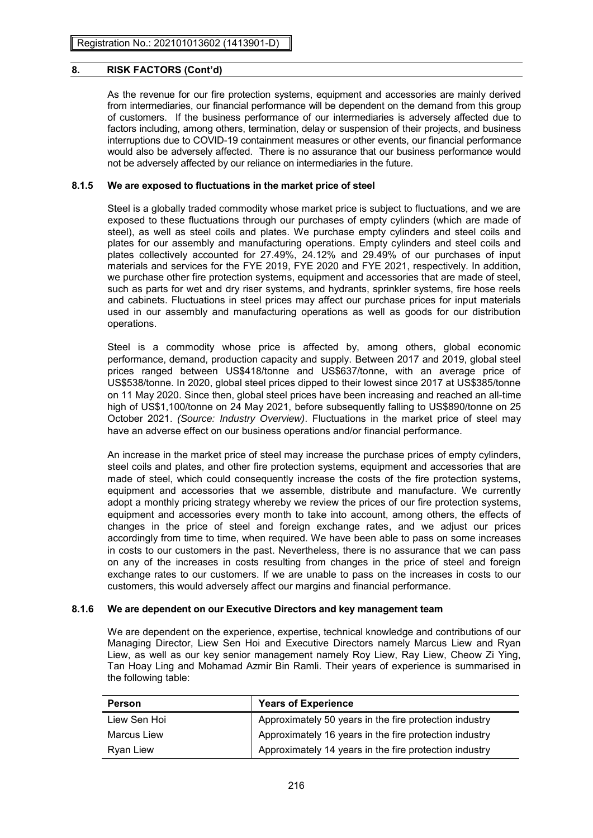As the revenue for our fire protection systems, equipment and accessories are mainly derived from intermediaries, our financial performance will be dependent on the demand from this group of customers. If the business performance of our intermediaries is adversely affected due to factors including, among others, termination, delay or suspension of their projects, and business interruptions due to COVID-19 containment measures or other events, our financial performance would also be adversely affected. There is no assurance that our business performance would not be adversely affected by our reliance on intermediaries in the future.

# **8.1.5 We are exposed to fluctuations in the market price of steel**

Steel is a globally traded commodity whose market price is subject to fluctuations, and we are exposed to these fluctuations through our purchases of empty cylinders (which are made of steel), as well as steel coils and plates. We purchase empty cylinders and steel coils and plates for our assembly and manufacturing operations. Empty cylinders and steel coils and plates collectively accounted for 27.49%, 24.12% and 29.49% of our purchases of input materials and services for the FYE 2019, FYE 2020 and FYE 2021, respectively. In addition, we purchase other fire protection systems, equipment and accessories that are made of steel, such as parts for wet and dry riser systems, and hydrants, sprinkler systems, fire hose reels and cabinets. Fluctuations in steel prices may affect our purchase prices for input materials used in our assembly and manufacturing operations as well as goods for our distribution operations.

Steel is a commodity whose price is affected by, among others, global economic performance, demand, production capacity and supply. Between 2017 and 2019, global steel prices ranged between US\$418/tonne and US\$637/tonne, with an average price of US\$538/tonne. In 2020, global steel prices dipped to their lowest since 2017 at US\$385/tonne on 11 May 2020. Since then, global steel prices have been increasing and reached an all-time high of US\$1,100/tonne on 24 May 2021, before subsequently falling to US\$890/tonne on 25 October 2021. *(Source: Industry Overview)*. Fluctuations in the market price of steel may have an adverse effect on our business operations and/or financial performance.

An increase in the market price of steel may increase the purchase prices of empty cylinders, steel coils and plates, and other fire protection systems, equipment and accessories that are made of steel, which could consequently increase the costs of the fire protection systems, equipment and accessories that we assemble, distribute and manufacture. We currently adopt a monthly pricing strategy whereby we review the prices of our fire protection systems, equipment and accessories every month to take into account, among others, the effects of changes in the price of steel and foreign exchange rates, and we adjust our prices accordingly from time to time, when required. We have been able to pass on some increases in costs to our customers in the past. Nevertheless, there is no assurance that we can pass on any of the increases in costs resulting from changes in the price of steel and foreign exchange rates to our customers. If we are unable to pass on the increases in costs to our customers, this would adversely affect our margins and financial performance.

### **8.1.6 We are dependent on our Executive Directors and key management team**

We are dependent on the experience, expertise, technical knowledge and contributions of our Managing Director, Liew Sen Hoi and Executive Directors namely Marcus Liew and Ryan Liew, as well as our key senior management namely Roy Liew, Ray Liew, Cheow Zi Ying, Tan Hoay Ling and Mohamad Azmir Bin Ramli. Their years of experience is summarised in the following table:

| <b>Person</b> | <b>Years of Experience</b>                             |
|---------------|--------------------------------------------------------|
| Liew Sen Hoi  | Approximately 50 years in the fire protection industry |
| Marcus Liew   | Approximately 16 years in the fire protection industry |
| Ryan Liew     | Approximately 14 years in the fire protection industry |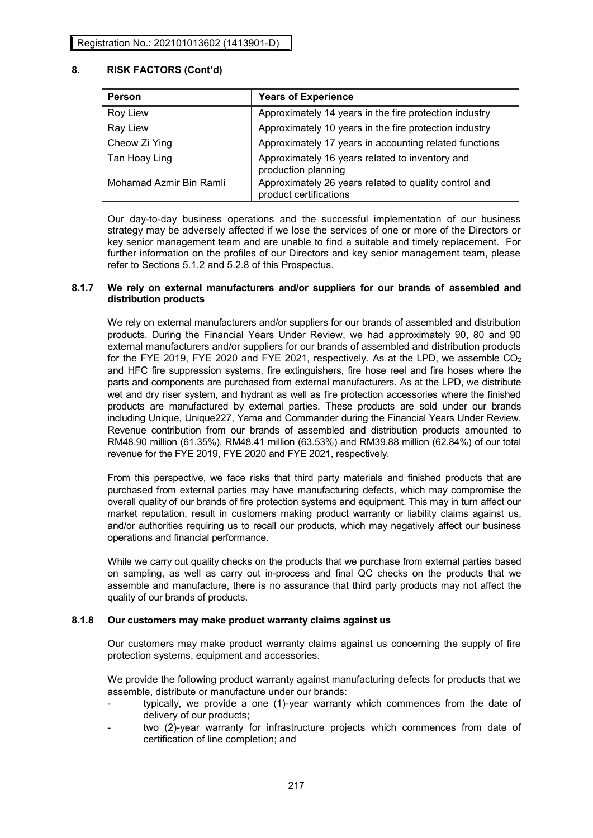| Person                  | <b>Years of Experience</b>                                                      |
|-------------------------|---------------------------------------------------------------------------------|
| <b>Roy Liew</b>         | Approximately 14 years in the fire protection industry                          |
| Ray Liew                | Approximately 10 years in the fire protection industry                          |
| Cheow Zi Ying           | Approximately 17 years in accounting related functions                          |
| Tan Hoay Ling           | Approximately 16 years related to inventory and<br>production planning          |
| Mohamad Azmir Bin Ramli | Approximately 26 years related to quality control and<br>product certifications |

Our day-to-day business operations and the successful implementation of our business strategy may be adversely affected if we lose the services of one or more of the Directors or key senior management team and are unable to find a suitable and timely replacement. For further information on the profiles of our Directors and key senior management team, please refer to Sections 5.1.2 and 5.2.8 of this Prospectus.

# **8.1.7 We rely on external manufacturers and/or suppliers for our brands of assembled and distribution products**

We rely on external manufacturers and/or suppliers for our brands of assembled and distribution products. During the Financial Years Under Review, we had approximately 90, 80 and 90 external manufacturers and/or suppliers for our brands of assembled and distribution products for the FYE 2019, FYE 2020 and FYE 2021, respectively. As at the LPD, we assemble CO<sup>2</sup> and HFC fire suppression systems, fire extinguishers, fire hose reel and fire hoses where the parts and components are purchased from external manufacturers. As at the LPD, we distribute wet and dry riser system, and hydrant as well as fire protection accessories where the finished products are manufactured by external parties. These products are sold under our brands including Unique, Unique227, Yama and Commander during the Financial Years Under Review. Revenue contribution from our brands of assembled and distribution products amounted to RM48.90 million (61.35%), RM48.41 million (63.53%) and RM39.88 million (62.84%) of our total revenue for the FYE 2019, FYE 2020 and FYE 2021, respectively.

From this perspective, we face risks that third party materials and finished products that are purchased from external parties may have manufacturing defects, which may compromise the overall quality of our brands of fire protection systems and equipment. This may in turn affect our market reputation, result in customers making product warranty or liability claims against us, and/or authorities requiring us to recall our products, which may negatively affect our business operations and financial performance.

While we carry out quality checks on the products that we purchase from external parties based on sampling, as well as carry out in-process and final QC checks on the products that we assemble and manufacture, there is no assurance that third party products may not affect the quality of our brands of products.

# **8.1.8 Our customers may make product warranty claims against us**

Our customers may make product warranty claims against us concerning the supply of fire protection systems, equipment and accessories.

We provide the following product warranty against manufacturing defects for products that we assemble, distribute or manufacture under our brands:

- typically, we provide a one (1)-year warranty which commences from the date of delivery of our products;
- two (2)-year warranty for infrastructure projects which commences from date of certification of line completion; and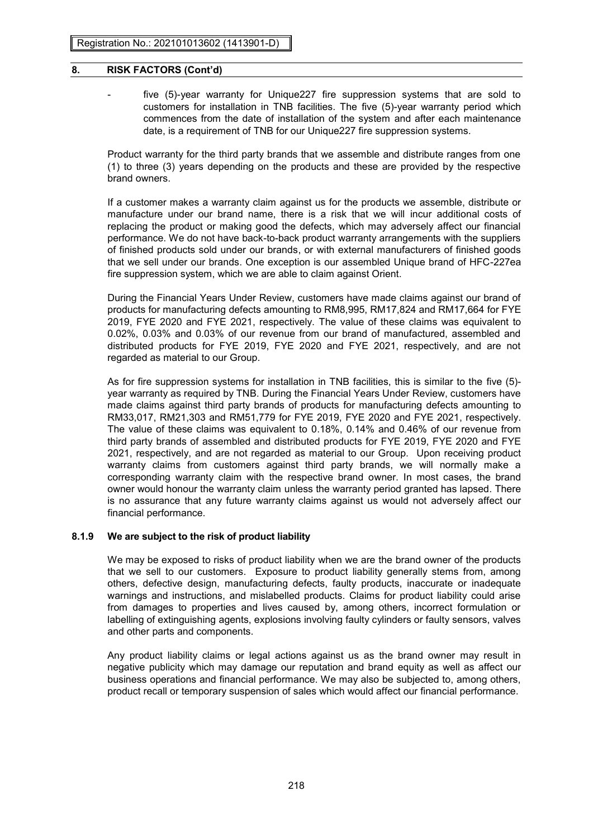- 
- five (5)-year warranty for Unique227 fire suppression systems that are sold to customers for installation in TNB facilities. The five (5)-year warranty period which commences from the date of installation of the system and after each maintenance date, is a requirement of TNB for our Unique227 fire suppression systems.

Product warranty for the third party brands that we assemble and distribute ranges from one (1) to three (3) years depending on the products and these are provided by the respective brand owners.

If a customer makes a warranty claim against us for the products we assemble, distribute or manufacture under our brand name, there is a risk that we will incur additional costs of replacing the product or making good the defects, which may adversely affect our financial performance. We do not have back-to-back product warranty arrangements with the suppliers of finished products sold under our brands, or with external manufacturers of finished goods that we sell under our brands. One exception is our assembled Unique brand of HFC-227ea fire suppression system, which we are able to claim against Orient.

During the Financial Years Under Review, customers have made claims against our brand of products for manufacturing defects amounting to RM8,995, RM17,824 and RM17,664 for FYE 2019, FYE 2020 and FYE 2021, respectively. The value of these claims was equivalent to 0.02%, 0.03% and 0.03% of our revenue from our brand of manufactured, assembled and distributed products for FYE 2019, FYE 2020 and FYE 2021, respectively, and are not regarded as material to our Group.

As for fire suppression systems for installation in TNB facilities, this is similar to the five (5) year warranty as required by TNB. During the Financial Years Under Review, customers have made claims against third party brands of products for manufacturing defects amounting to RM33,017, RM21,303 and RM51,779 for FYE 2019, FYE 2020 and FYE 2021, respectively. The value of these claims was equivalent to 0.18%, 0.14% and 0.46% of our revenue from third party brands of assembled and distributed products for FYE 2019, FYE 2020 and FYE 2021, respectively, and are not regarded as material to our Group. Upon receiving product warranty claims from customers against third party brands, we will normally make a corresponding warranty claim with the respective brand owner. In most cases, the brand owner would honour the warranty claim unless the warranty period granted has lapsed. There is no assurance that any future warranty claims against us would not adversely affect our financial performance.

# **8.1.9 We are subject to the risk of product liability**

We may be exposed to risks of product liability when we are the brand owner of the products that we sell to our customers. Exposure to product liability generally stems from, among others, defective design, manufacturing defects, faulty products, inaccurate or inadequate warnings and instructions, and mislabelled products. Claims for product liability could arise from damages to properties and lives caused by, among others, incorrect formulation or labelling of extinguishing agents, explosions involving faulty cylinders or faulty sensors, valves and other parts and components.

Any product liability claims or legal actions against us as the brand owner may result in negative publicity which may damage our reputation and brand equity as well as affect our business operations and financial performance. We may also be subjected to, among others, product recall or temporary suspension of sales which would affect our financial performance.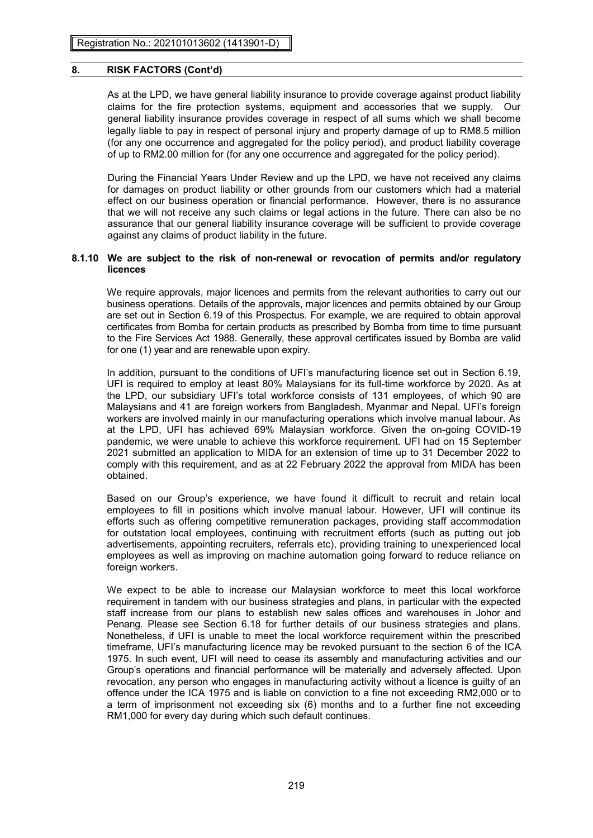As at the LPD, we have general liability insurance to provide coverage against product liability claims for the fire protection systems, equipment and accessories that we supply. Our general liability insurance provides coverage in respect of all sums which we shall become legally liable to pay in respect of personal injury and property damage of up to RM8.5 million (for any one occurrence and aggregated for the policy period), and product liability coverage of up to RM2.00 million for (for any one occurrence and aggregated for the policy period).

During the Financial Years Under Review and up the LPD, we have not received any claims for damages on product liability or other grounds from our customers which had a material effect on our business operation or financial performance. However, there is no assurance that we will not receive any such claims or legal actions in the future. There can also be no assurance that our general liability insurance coverage will be sufficient to provide coverage against any claims of product liability in the future.

### **8.1.10 We are subject to the risk of non-renewal or revocation of permits and/or regulatory licences**

We require approvals, major licences and permits from the relevant authorities to carry out our business operations. Details of the approvals, major licences and permits obtained by our Group are set out in Section 6.19 of this Prospectus. For example, we are required to obtain approval certificates from Bomba for certain products as prescribed by Bomba from time to time pursuant to the Fire Services Act 1988. Generally, these approval certificates issued by Bomba are valid for one (1) year and are renewable upon expiry.

In addition, pursuant to the conditions of UFI's manufacturing licence set out in Section 6.19, UFI is required to employ at least 80% Malaysians for its full-time workforce by 2020. As at the LPD, our subsidiary UFI's total workforce consists of 131 employees, of which 90 are Malaysians and 41 are foreign workers from Bangladesh, Myanmar and Nepal. UFI's foreign workers are involved mainly in our manufacturing operations which involve manual labour. As at the LPD, UFI has achieved 69% Malaysian workforce. Given the on-going COVID-19 pandemic, we were unable to achieve this workforce requirement. UFI had on 15 September 2021 submitted an application to MIDA for an extension of time up to 31 December 2022 to comply with this requirement, and as at 22 February 2022 the approval from MIDA has been obtained.

Based on our Group's experience, we have found it difficult to recruit and retain local employees to fill in positions which involve manual labour. However, UFI will continue its efforts such as offering competitive remuneration packages, providing staff accommodation for outstation local employees, continuing with recruitment efforts (such as putting out job advertisements, appointing recruiters, referrals etc), providing training to unexperienced local employees as well as improving on machine automation going forward to reduce reliance on foreign workers.

We expect to be able to increase our Malaysian workforce to meet this local workforce requirement in tandem with our business strategies and plans, in particular with the expected staff increase from our plans to establish new sales offices and warehouses in Johor and Penang. Please see Section 6.18 for further details of our business strategies and plans. Nonetheless, if UFI is unable to meet the local workforce requirement within the prescribed timeframe, UFI's manufacturing licence may be revoked pursuant to the section 6 of the ICA 1975. In such event, UFI will need to cease its assembly and manufacturing activities and our Group's operations and financial performance will be materially and adversely affected. Upon revocation, any person who engages in manufacturing activity without a licence is guilty of an offence under the ICA 1975 and is liable on conviction to a fine not exceeding RM2,000 or to a term of imprisonment not exceeding six (6) months and to a further fine not exceeding RM1,000 for every day during which such default continues.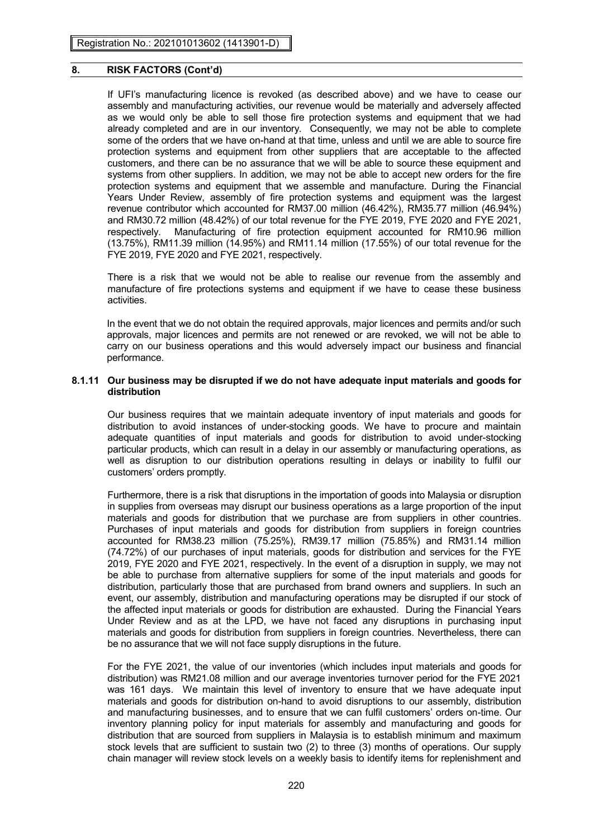If UFI's manufacturing licence is revoked (as described above) and we have to cease our assembly and manufacturing activities, our revenue would be materially and adversely affected as we would only be able to sell those fire protection systems and equipment that we had already completed and are in our inventory. Consequently, we may not be able to complete some of the orders that we have on-hand at that time, unless and until we are able to source fire protection systems and equipment from other suppliers that are acceptable to the affected customers, and there can be no assurance that we will be able to source these equipment and systems from other suppliers. In addition, we may not be able to accept new orders for the fire protection systems and equipment that we assemble and manufacture. During the Financial Years Under Review, assembly of fire protection systems and equipment was the largest revenue contributor which accounted for RM37.00 million (46.42%), RM35.77 million (46.94%) and RM30.72 million (48.42%) of our total revenue for the FYE 2019, FYE 2020 and FYE 2021, respectively. Manufacturing of fire protection equipment accounted for RM10.96 million (13.75%), RM11.39 million (14.95%) and RM11.14 million (17.55%) of our total revenue for the FYE 2019, FYE 2020 and FYE 2021, respectively.

There is a risk that we would not be able to realise our revenue from the assembly and manufacture of fire protections systems and equipment if we have to cease these business activities.

In the event that we do not obtain the required approvals, major licences and permits and/or such approvals, major licences and permits are not renewed or are revoked, we will not be able to carry on our business operations and this would adversely impact our business and financial performance.

#### **8.1.11 Our business may be disrupted if we do not have adequate input materials and goods for distribution**

Our business requires that we maintain adequate inventory of input materials and goods for distribution to avoid instances of under-stocking goods. We have to procure and maintain adequate quantities of input materials and goods for distribution to avoid under-stocking particular products, which can result in a delay in our assembly or manufacturing operations, as well as disruption to our distribution operations resulting in delays or inability to fulfil our customers' orders promptly.

Furthermore, there is a risk that disruptions in the importation of goods into Malaysia or disruption in supplies from overseas may disrupt our business operations as a large proportion of the input materials and goods for distribution that we purchase are from suppliers in other countries. Purchases of input materials and goods for distribution from suppliers in foreign countries accounted for RM38.23 million (75.25%), RM39.17 million (75.85%) and RM31.14 million (74.72%) of our purchases of input materials, goods for distribution and services for the FYE 2019, FYE 2020 and FYE 2021, respectively. In the event of a disruption in supply, we may not be able to purchase from alternative suppliers for some of the input materials and goods for distribution, particularly those that are purchased from brand owners and suppliers. In such an event, our assembly, distribution and manufacturing operations may be disrupted if our stock of the affected input materials or goods for distribution are exhausted. During the Financial Years Under Review and as at the LPD, we have not faced any disruptions in purchasing input materials and goods for distribution from suppliers in foreign countries. Nevertheless, there can be no assurance that we will not face supply disruptions in the future.

For the FYE 2021, the value of our inventories (which includes input materials and goods for distribution) was RM21.08 million and our average inventories turnover period for the FYE 2021 was 161 days. We maintain this level of inventory to ensure that we have adequate input materials and goods for distribution on-hand to avoid disruptions to our assembly, distribution and manufacturing businesses, and to ensure that we can fulfil customers' orders on-time. Our inventory planning policy for input materials for assembly and manufacturing and goods for distribution that are sourced from suppliers in Malaysia is to establish minimum and maximum stock levels that are sufficient to sustain two (2) to three (3) months of operations. Our supply chain manager will review stock levels on a weekly basis to identify items for replenishment and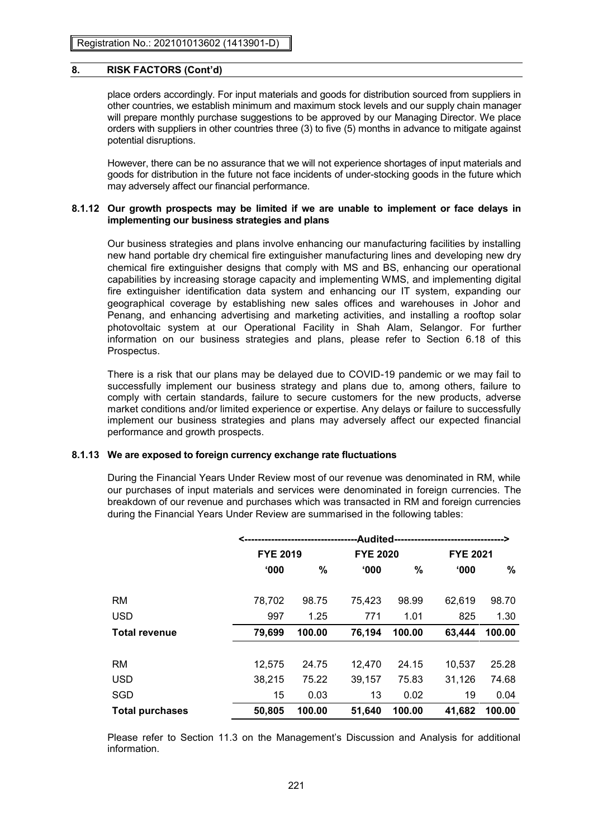place orders accordingly. For input materials and goods for distribution sourced from suppliers in other countries, we establish minimum and maximum stock levels and our supply chain manager will prepare monthly purchase suggestions to be approved by our Managing Director. We place orders with suppliers in other countries three (3) to five (5) months in advance to mitigate against potential disruptions.

However, there can be no assurance that we will not experience shortages of input materials and goods for distribution in the future not face incidents of under-stocking goods in the future which may adversely affect our financial performance.

### **8.1.12 Our growth prospects may be limited if we are unable to implement or face delays in implementing our business strategies and plans**

Our business strategies and plans involve enhancing our manufacturing facilities by installing new hand portable dry chemical fire extinguisher manufacturing lines and developing new dry chemical fire extinguisher designs that comply with MS and BS, enhancing our operational capabilities by increasing storage capacity and implementing WMS, and implementing digital fire extinguisher identification data system and enhancing our IT system, expanding our geographical coverage by establishing new sales offices and warehouses in Johor and Penang, and enhancing advertising and marketing activities, and installing a rooftop solar photovoltaic system at our Operational Facility in Shah Alam, Selangor. For further information on our business strategies and plans, please refer to Section 6.18 of this Prospectus.

There is a risk that our plans may be delayed due to COVID-19 pandemic or we may fail to successfully implement our business strategy and plans due to, among others, failure to comply with certain standards, failure to secure customers for the new products, adverse market conditions and/or limited experience or expertise. Any delays or failure to successfully implement our business strategies and plans may adversely affect our expected financial performance and growth prospects.

### **8.1.13 We are exposed to foreign currency exchange rate fluctuations**

During the Financial Years Under Review most of our revenue was denominated in RM, while our purchases of input materials and services were denominated in foreign currencies. The breakdown of our revenue and purchases which was transacted in RM and foreign currencies during the Financial Years Under Review are summarised in the following tables:

|                        | -Audited-<br><-------------------------------- |        |        |                 |        |                 |  |  |
|------------------------|------------------------------------------------|--------|--------|-----------------|--------|-----------------|--|--|
|                        | <b>FYE 2019</b>                                |        |        | <b>FYE 2020</b> |        | <b>FYE 2021</b> |  |  |
|                        | 000'                                           | %      | 000'   | %               | '000   | %               |  |  |
|                        |                                                |        |        |                 |        |                 |  |  |
| <b>RM</b>              | 78,702                                         | 98.75  | 75,423 | 98.99           | 62,619 | 98.70           |  |  |
| <b>USD</b>             | 997                                            | 1.25   | 771    | 1.01            | 825    | 1.30            |  |  |
| <b>Total revenue</b>   | 79,699                                         | 100.00 | 76,194 | 100.00          | 63,444 | 100.00          |  |  |
|                        |                                                |        |        |                 |        |                 |  |  |
| <b>RM</b>              | 12,575                                         | 24.75  | 12.470 | 24.15           | 10,537 | 25.28           |  |  |
| <b>USD</b>             | 38,215                                         | 75.22  | 39,157 | 75.83           | 31,126 | 74.68           |  |  |
| SGD                    | 15                                             | 0.03   | 13     | 0.02            | 19     | 0.04            |  |  |
| <b>Total purchases</b> | 50,805                                         | 100.00 | 51,640 | 100.00          | 41,682 | 100.00          |  |  |

Please refer to Section 11.3 on the Management's Discussion and Analysis for additional information.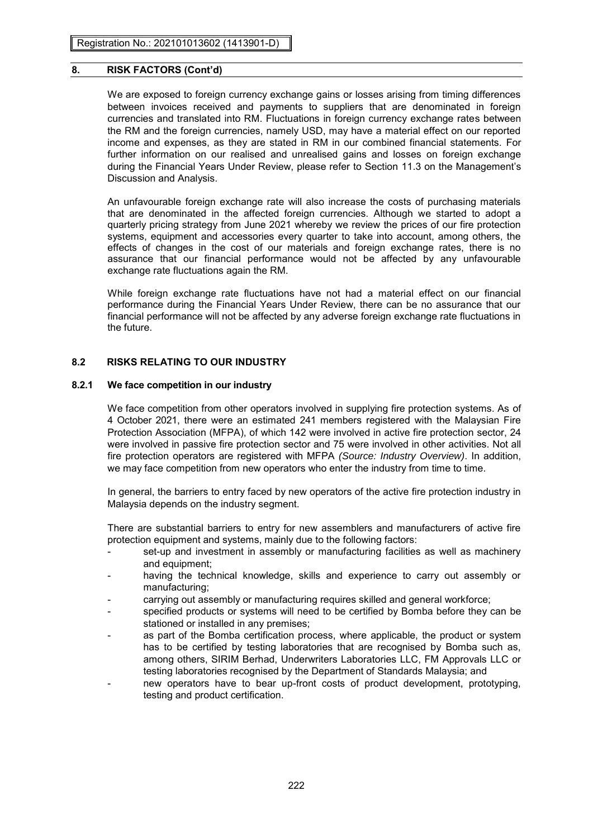We are exposed to foreign currency exchange gains or losses arising from timing differences between invoices received and payments to suppliers that are denominated in foreign currencies and translated into RM. Fluctuations in foreign currency exchange rates between the RM and the foreign currencies, namely USD, may have a material effect on our reported income and expenses, as they are stated in RM in our combined financial statements. For further information on our realised and unrealised gains and losses on foreign exchange during the Financial Years Under Review, please refer to Section 11.3 on the Management's Discussion and Analysis.

An unfavourable foreign exchange rate will also increase the costs of purchasing materials that are denominated in the affected foreign currencies. Although we started to adopt a quarterly pricing strategy from June 2021 whereby we review the prices of our fire protection systems, equipment and accessories every quarter to take into account, among others, the effects of changes in the cost of our materials and foreign exchange rates, there is no assurance that our financial performance would not be affected by any unfavourable exchange rate fluctuations again the RM.

While foreign exchange rate fluctuations have not had a material effect on our financial performance during the Financial Years Under Review, there can be no assurance that our financial performance will not be affected by any adverse foreign exchange rate fluctuations in the future.

# **8.2 RISKS RELATING TO OUR INDUSTRY**

### **8.2.1 We face competition in our industry**

We face competition from other operators involved in supplying fire protection systems. As of 4 October 2021, there were an estimated 241 members registered with the Malaysian Fire Protection Association (MFPA), of which 142 were involved in active fire protection sector, 24 were involved in passive fire protection sector and 75 were involved in other activities. Not all fire protection operators are registered with MFPA *(Source: Industry Overview)*. In addition, we may face competition from new operators who enter the industry from time to time.

In general, the barriers to entry faced by new operators of the active fire protection industry in Malaysia depends on the industry segment.

There are substantial barriers to entry for new assemblers and manufacturers of active fire protection equipment and systems, mainly due to the following factors:

- set-up and investment in assembly or manufacturing facilities as well as machinery and equipment;
- having the technical knowledge, skills and experience to carry out assembly or manufacturing;
- carrying out assembly or manufacturing requires skilled and general workforce;
- specified products or systems will need to be certified by Bomba before they can be stationed or installed in any premises;
- as part of the Bomba certification process, where applicable, the product or system has to be certified by testing laboratories that are recognised by Bomba such as, among others, SIRIM Berhad, Underwriters Laboratories LLC, FM Approvals LLC or testing laboratories recognised by the Department of Standards Malaysia; and
- new operators have to bear up-front costs of product development, prototyping, testing and product certification.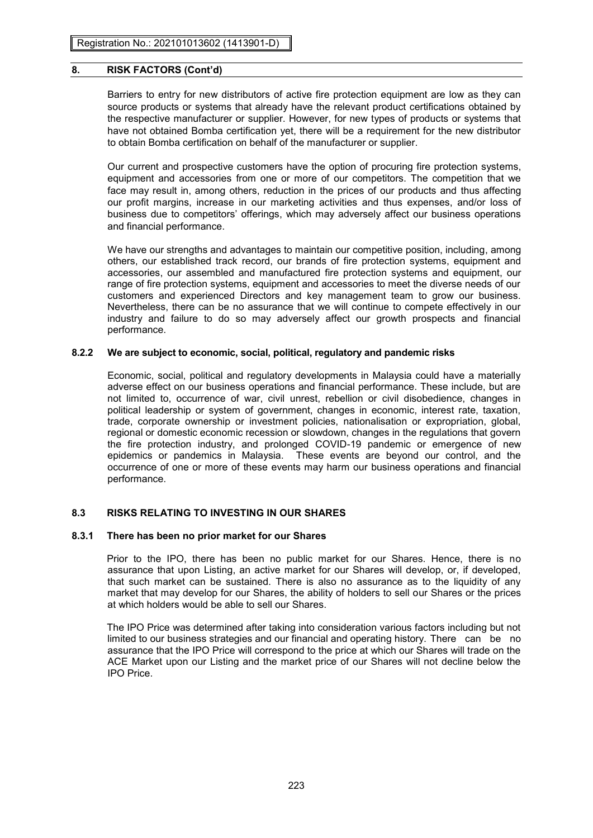Barriers to entry for new distributors of active fire protection equipment are low as they can source products or systems that already have the relevant product certifications obtained by the respective manufacturer or supplier. However, for new types of products or systems that have not obtained Bomba certification yet, there will be a requirement for the new distributor to obtain Bomba certification on behalf of the manufacturer or supplier.

Our current and prospective customers have the option of procuring fire protection systems, equipment and accessories from one or more of our competitors. The competition that we face may result in, among others, reduction in the prices of our products and thus affecting our profit margins, increase in our marketing activities and thus expenses, and/or loss of business due to competitors' offerings, which may adversely affect our business operations and financial performance.

We have our strengths and advantages to maintain our competitive position, including, among others, our established track record, our brands of fire protection systems, equipment and accessories, our assembled and manufactured fire protection systems and equipment, our range of fire protection systems, equipment and accessories to meet the diverse needs of our customers and experienced Directors and key management team to grow our business. Nevertheless, there can be no assurance that we will continue to compete effectively in our industry and failure to do so may adversely affect our growth prospects and financial performance.

# **8.2.2 We are subject to economic, social, political, regulatory and pandemic risks**

Economic, social, political and regulatory developments in Malaysia could have a materially adverse effect on our business operations and financial performance. These include, but are not limited to, occurrence of war, civil unrest, rebellion or civil disobedience, changes in political leadership or system of government, changes in economic, interest rate, taxation, trade, corporate ownership or investment policies, nationalisation or expropriation, global, regional or domestic economic recession or slowdown, changes in the regulations that govern the fire protection industry, and prolonged COVID-19 pandemic or emergence of new epidemics or pandemics in Malaysia. These events are beyond our control, and the occurrence of one or more of these events may harm our business operations and financial performance.

# **8.3 RISKS RELATING TO INVESTING IN OUR SHARES**

### **8.3.1 There has been no prior market for our Shares**

Prior to the IPO, there has been no public market for our Shares. Hence, there is no assurance that upon Listing, an active market for our Shares will develop, or, if developed, that such market can be sustained. There is also no assurance as to the liquidity of any market that may develop for our Shares, the ability of holders to sell our Shares or the prices at which holders would be able to sell our Shares.

The IPO Price was determined after taking into consideration various factors including but not limited to our business strategies and our financial and operating history. There can be no assurance that the IPO Price will correspond to the price at which our Shares will trade on the ACE Market upon our Listing and the market price of our Shares will not decline below the IPO Price.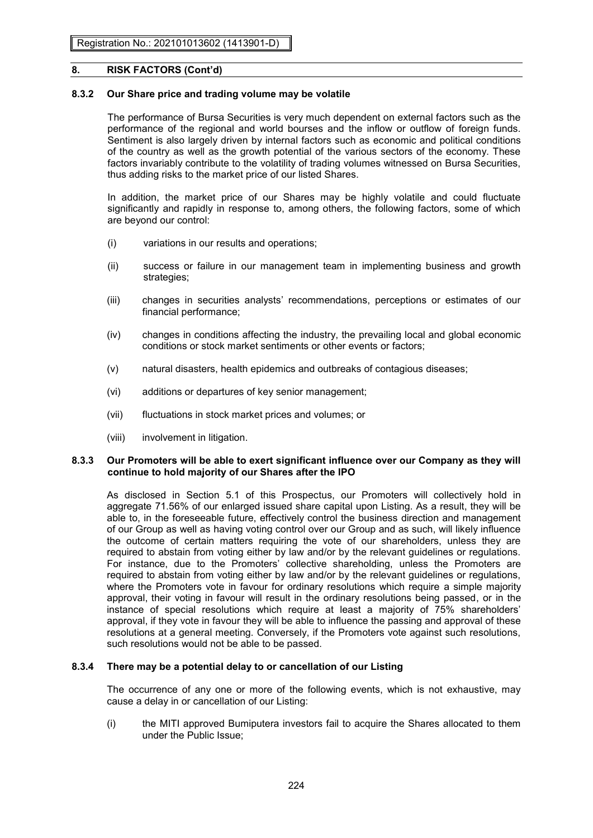# **8.3.2 Our Share price and trading volume may be volatile**

The performance of Bursa Securities is very much dependent on external factors such as the performance of the regional and world bourses and the inflow or outflow of foreign funds. Sentiment is also largely driven by internal factors such as economic and political conditions of the country as well as the growth potential of the various sectors of the economy. These factors invariably contribute to the volatility of trading volumes witnessed on Bursa Securities, thus adding risks to the market price of our listed Shares.

In addition, the market price of our Shares may be highly volatile and could fluctuate significantly and rapidly in response to, among others, the following factors, some of which are beyond our control:

- (i) variations in our results and operations;
- (ii) success or failure in our management team in implementing business and growth strategies;
- (iii) changes in securities analysts' recommendations, perceptions or estimates of our financial performance;
- (iv) changes in conditions affecting the industry, the prevailing local and global economic conditions or stock market sentiments or other events or factors;
- (v) natural disasters, health epidemics and outbreaks of contagious diseases;
- (vi) additions or departures of key senior management;
- (vii) fluctuations in stock market prices and volumes; or
- (viii) involvement in litigation.

### **8.3.3 Our Promoters will be able to exert significant influence over our Company as they will continue to hold majority of our Shares after the IPO**

As disclosed in Section 5.1 of this Prospectus, our Promoters will collectively hold in aggregate 71.56% of our enlarged issued share capital upon Listing. As a result, they will be able to, in the foreseeable future, effectively control the business direction and management of our Group as well as having voting control over our Group and as such, will likely influence the outcome of certain matters requiring the vote of our shareholders, unless they are required to abstain from voting either by law and/or by the relevant guidelines or regulations. For instance, due to the Promoters' collective shareholding, unless the Promoters are required to abstain from voting either by law and/or by the relevant guidelines or regulations, where the Promoters vote in favour for ordinary resolutions which require a simple majority approval, their voting in favour will result in the ordinary resolutions being passed, or in the instance of special resolutions which require at least a majority of 75% shareholders' approval, if they vote in favour they will be able to influence the passing and approval of these resolutions at a general meeting. Conversely, if the Promoters vote against such resolutions, such resolutions would not be able to be passed.

### **8.3.4 There may be a potential delay to or cancellation of our Listing**

The occurrence of any one or more of the following events, which is not exhaustive, may cause a delay in or cancellation of our Listing:

(i) the MITI approved Bumiputera investors fail to acquire the Shares allocated to them under the Public Issue;